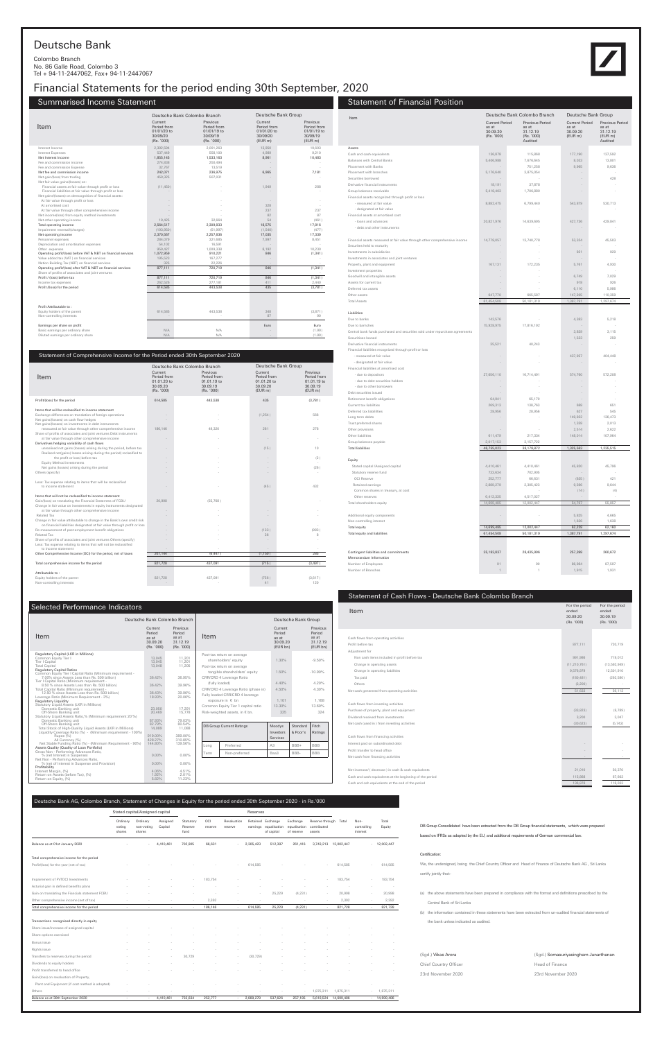| Item                                                     | For the period<br>ended<br>30.09.20<br>(Rs. '000) | For the period<br>ended<br>30.09.19<br>(Rs. '000) |
|----------------------------------------------------------|---------------------------------------------------|---------------------------------------------------|
|                                                          |                                                   |                                                   |
| Cash flows from operating activities                     |                                                   |                                                   |
| Profit before tax                                        | 877,111                                           | 720,719                                           |
| Adjustment for                                           |                                                   |                                                   |
| Non cash items included in profit before tax             | 991.986                                           | 719,012                                           |
| Change in operating assets                               | (11, 210, 761)                                    | (13,592,949)                                      |
| Change in operating liabilities                          | 9,576,979                                         | 12,501,910                                        |
| Tax paid                                                 | (180, 481)                                        | (292, 580)                                        |
| Others                                                   | (3, 200)                                          |                                                   |
| Net cash generated from operating activities             | 51,633                                            | 56,113                                            |
|                                                          |                                                   |                                                   |
| Cash flows from investing activities                     |                                                   |                                                   |
| Purchase of property, plant and equipment                | (33, 823)                                         | (8,789)                                           |
| Dividend received from investments                       | 3,200                                             | 3,047                                             |
| Net cash (used in ) from investing activities            | (30, 623)                                         | (5, 742)                                          |
|                                                          |                                                   |                                                   |
| Cash flows from financing activities                     |                                                   |                                                   |
| Interest paid on subordinated debt                       |                                                   |                                                   |
| Profit transfer to head office                           |                                                   |                                                   |
| Net cash from financing activities                       |                                                   |                                                   |
|                                                          |                                                   |                                                   |
| Net increase/ (decrease) in cash & cash equivalents      | 21,010                                            | 50,370                                            |
| Cash and cash equivalents at the beginning of the period | 115,868                                           | 67,663                                            |
| Cash and cah equivalents at the end of the period        | 136,878                                           | 118,033                                           |

#### Statement of Financial Position Item Deutsche Bank Group Deutsche Bank Colombo Branch Current Period Previous Period as at 30.09.20 (EUR m) as at 31.12.19 (EUR m) Audited **Current Period**<br>as at as at 30.09.20 (Rs. '000) Previous Period as at 31.12.19 (Rs. '000) Audited Assets Liabilities Total liabilities 46,755,023 38,178,872 1,325,563 1,235,515 1,235,515 1,235,515 1,235,563 1,235,565 15 Equity Total equity 14,699,485 12,002,447 62,228 62,160 Total equity and liabilities 61,454,508 50,181,319 1,287,791 1,297,674 1,297,674 Contingent liabilities and commitments 35,183,837 28,435,996 257,398 260,672 Memorandum Information Cash and cash equivalents (and the cash and cash equivalents in the cash and cash equivalents in the cash of the cash and cash equivalents (and the cash of the cash of the cash of the cash of the cash of the cash of the ca Balances with Central Banks 8,406,988 7,676,645 8,033 7,676,645 8,033 8 8,033 13,800 8,033 8 8,033 13,800 8,035<br>Placement with Banks 8,965 8,905 8,905 8,900 8,905 8,900 8,900 8,000 8,000 8,000 8,000 8,000 8,000 8,000 8,000 Placement with Banks 9,636 9,636 9,636 9,636 9,636 9,636 9,636 9,636 9,636 9,636 9,636 9,636 9,636 9,636 9,636 Placement with branches 6,176,640 3,875,054 Securities borrowed - - - 428 Derivative financial instruments 18,191 18,191 37,878 Group balances receivable and the state of the state of the state of the state of the state of the state of the state of the state of the state of the state of the state of the state of the state of the state of the state Financial assets recognized through profit or loss - measured at fair value 8,882,475 6,799,440 6,799,440 530,713 530,713 - designated at fair value Financial assets at amortised cost - loans and advances 20,821,976 14,639,695 427,736 429,841 - debt and other instruments Financial assets measured at fair value through other comprehensive income 14,778,057 13,740,778 53,324 45,503 Securites held to maturity Investments in subsidiaries - - 921 929 Investments in associates and joint ventures - - - - Property, plant and equipment **167,131** 172,235 5,761 4,930 Investment properties Goodwill and intangible assets and the control of the control of the control of the control of the control of the control of the control of the control of the control of the control of the control of the control of the con Assets for current tax - - 918 926 (1992) 926 (1993) 926 (1994) 926 (1994) 926 (1994) 926 (1994) 926 (1994) 926 Deferred tax assets  $6,986$ Other assets 647,770 665,587 110,359 666,687 110,359 Total Assets 61,454,508 50,181,319 1,387,91 1,297,674 1,297,674 Due to banks 5,218 - 5,218 - 5,218 Due to barnches 15,928,975 17,816,192 - - Central bank funds purchased and securities sold under repurchase agreements 3,839 3,115<br>
Securitions loaned 1,523 259 3,115 Securitioes loaned 1,523 259 Derivative financial instruments and the state of the state of the state of the state of the state of the state of the state of the state of the state of the state of the state of the state of the state of the state of the Financial liabilities recognized through profit or loss - measured at fair value - - - 437,957 404,448 - designated at fair value Financial liabilities at amortised cost - due to depositors 27,656,110 16,714,491 574,760 572,208 - due to debt securities holders - due to other borrowers Debt securities issued Retirement benefit obligations and the control of the control of the control of the control of the control of the control of the control of the control of the control of the control of the control of the control of the con Current tax liabilities 269,313 138,763 688 651 Deferred tax liabililties 28,956 27 28,956 28,956 28,956 28,956 545 Long term debts - - - 136,473 136,473 136,473 136,473 136,473 136,473 136,473 136,473 136,473 136,473 136,473 136,473 136,473 136,473 136,473 136,473 136,473 136,473 136,473 136,473 136,473 136,473 136,473 136,473 136,473 Trust preferred shares 2,013 2,013 2,013 2,013 2,013 2,013 2,013 2,013 2,013 2,013 2,013 2,013 2,013 2,013 2,013 Other provisions - - 2,514 2,622 Other liabilities **611,479** 217,334 148,014 107,964 148,014 157,964 Group balances payable 2,017,153 3,157,722 Stated capital /Assigned capital **4,410,461** 4,410,461 4,410,461 4,410,461 45,820 45,796<br>
202,905 45,796 45,796 45,796 45,796 45,796 45,796 45,820 45,796 45,820 45,796 4,410,461 4,410,461 4,410,461 4,410,461 4,410,461 4,41 Statutory reserve fund<br>
CCI Reserve fund<br>
252,777 66,631 (635) 421 OCI Reserve 252,777 66,631 (635) 421 (635 ) 421 Retained earnings 2,889,279 2,305,423 9,596 9,644 Common shares in treasury, at cost - (14 ) (4) Other reserves 6,413,335 4,517,027 - - Total shareholders equity 14,699,485 12,002,447 54,767 55,857 55,857 Additional equity components and the components of the components of the components of the components of the components of the components of the components of the components of the components of the components of the compo Non-controlling interest 1,638 1,638 1,638 1,638 1,638 1,638 1,638 1,638 1,638 1,638 1,638 1,638 1,638 1,638 1,638 1,638 1,638 1,638 1,638 1,638 1,638 1,638 1,638 1,638 1,638 1,638 1,638 1,638 1,638 1,638 1,638 1,638 1,638 Number of Employees 87,597 86,984 87,597 Number of Branches 2012 1,931 1,931 1,931 1,931 1,931 1,931 1,931 1,931 1,931 1,931 1,931 1,931 1,931 1,931 1,931 1,931 1,931 1,931 1,931 1,931 1,931 1,931 1,931 1,931 1,931 1,931 1,931 1,931 1,931 1,931 1,931 1,931 1,931



| (Sgd.) Vikas Arora    | (Sgd.) Somasuriyasingham Janarthanan |  |  |  |  |  |
|-----------------------|--------------------------------------|--|--|--|--|--|
| Chief Country Officer | Head of Finance                      |  |  |  |  |  |
| 23rd November 2020    | 23rd November 2020                   |  |  |  |  |  |

## Deutsche Bank

#### Colombo Branch No. 86 Galle Road, Colombo 3 Tel + 94-11-2447062, Fax+ 94-11-2447067

## Financial Statements for the period ending 30th September, 2020

## Summarised Income Statement

### Deutsche Bank AG, Colombo Branch, Statement of Changes in Equity for the period ended 30th September 2020 - in Rs.'000

|                                                  |                              | Stated capital/Assigned capital  |                     | Reserves                     |                |                        |           |                                                          |                                        |                                          |            |                                 |                 |
|--------------------------------------------------|------------------------------|----------------------------------|---------------------|------------------------------|----------------|------------------------|-----------|----------------------------------------------------------|----------------------------------------|------------------------------------------|------------|---------------------------------|-----------------|
|                                                  | Ordinary<br>voting<br>shares | Ordinary<br>non-voting<br>shares | Assigned<br>Capital | Statutory<br>Reserve<br>fund | OCI<br>reserve | Revaluation<br>reserve |           | Retained Exchange<br>earnings equalisation<br>of capital | Exchange<br>equalisation<br>of reserve | Reserve through<br>contributed<br>assets | Total      | Non-<br>controlling<br>interest | Total<br>Equity |
| Balance as at 01st January 2020                  |                              |                                  | 4,410,461           | 702,905                      | 66,631         |                        | 2,305,423 | 512,397                                                  | 261,416                                | 3,743,213                                | 12,002,447 |                                 | $-12,002,447$   |
| Total comprehensive income for the period        |                              |                                  |                     |                              |                |                        |           |                                                          |                                        |                                          |            |                                 |                 |
| Profit/(loss) for the year (net of tax)          |                              |                                  |                     |                              |                |                        | 614,585   |                                                          |                                        |                                          | 614,585    |                                 | 614,585         |
| Impairement of FVTOCI Investments                |                              |                                  |                     |                              | 183,754        |                        |           |                                                          |                                        |                                          | 183,754    |                                 | 183,754         |
| Acturial gain in defined benefits plans          |                              |                                  |                     |                              |                |                        |           |                                                          |                                        |                                          |            |                                 |                 |
| Gain on translating the Fiancials statement FCBU |                              |                                  |                     |                              |                |                        |           | 25,229                                                   | (4, 231)                               |                                          | 20,998     |                                 | 20,998          |
| Other comprehensive income (net of tax)          |                              |                                  |                     |                              | 2,392          |                        |           |                                                          |                                        |                                          | 2,392      |                                 | 2,392           |
| Total comprehensive income for the period        |                              | ×.                               |                     | $\sim$                       | 186,146        | $\sim$                 | 614,585   | 25,229                                                   | (4, 231)                               | $\sim$                                   | 821,728    |                                 | 821,728         |
|                                                  |                              |                                  |                     |                              |                |                        |           |                                                          |                                        |                                          |            |                                 |                 |
| Transactions recognised directly in equity       |                              |                                  |                     |                              |                |                        |           |                                                          |                                        |                                          |            |                                 |                 |
| Share issue/increase of assigned capital         |                              |                                  |                     |                              |                |                        |           |                                                          |                                        |                                          |            |                                 |                 |
| Share options exercised                          |                              |                                  |                     |                              |                |                        |           |                                                          |                                        |                                          |            |                                 |                 |
| Bonus issue                                      |                              |                                  |                     |                              |                |                        |           |                                                          |                                        |                                          |            |                                 |                 |
| Rights issue                                     |                              |                                  |                     |                              |                |                        |           |                                                          |                                        |                                          |            |                                 |                 |
| Transfers to reserves during the period          |                              |                                  |                     | 30,729                       |                |                        | (30, 729) |                                                          |                                        |                                          |            |                                 |                 |
| Dividends to equity holders                      |                              |                                  |                     |                              |                |                        |           |                                                          |                                        |                                          |            |                                 |                 |
| Profit transferred to head office                |                              |                                  |                     |                              |                |                        |           |                                                          |                                        |                                          |            |                                 |                 |
| Gain/(loss) on revaluation of Property,          |                              |                                  |                     |                              |                |                        |           |                                                          |                                        |                                          |            |                                 |                 |
| Plant and Equipment (if cost method is adopted)  |                              |                                  |                     |                              |                |                        |           |                                                          |                                        |                                          |            |                                 |                 |
| Others                                           |                              |                                  |                     |                              |                |                        |           |                                                          |                                        | 1,875,311                                | 1,875,311  |                                 | 1,875,311       |
| Balance as at 30th September 2020                |                              | $\sim$                           | 4,410,461           | 733,634                      | 252,777        |                        | 2,889,279 | 537,626                                                  | 257,185                                | 5,618,524                                | 14,699,486 |                                 | $-14,699,486$   |

|                                                                |                                                                 | Deutsche Bank Colombo Branch                                     |                                                              | Deutsche Bank Group                                             |
|----------------------------------------------------------------|-----------------------------------------------------------------|------------------------------------------------------------------|--------------------------------------------------------------|-----------------------------------------------------------------|
| Item                                                           | Current<br>Period from<br>01/01/20 to<br>30/09/20<br>(Rs. '000) | Previous<br>Period from<br>01/01/19 to<br>30/09/19<br>(Rs. '000) | Current<br>Period from<br>01/01/20 to<br>30/09/20<br>(EUR m) | Previous<br>Period from<br>$01/01/19$ to<br>30/09/19<br>(EUR m) |
| Interest Income                                                | 2,392,594                                                       | 2,091,263                                                        | 13,950                                                       | 19,693                                                          |
| <b>Interest Expenses</b>                                       | 537,449                                                         | 558,100                                                          | 4,989                                                        | 9.210                                                           |
| Net Interest Income                                            | 1,855,145                                                       | 1,533,163                                                        | 8,961                                                        | 10,483                                                          |
| Fee and commission income                                      | 274,838                                                         | 250,494                                                          |                                                              |                                                                 |
| Fee and commission Expense                                     | 32.767                                                          | 13,519                                                           |                                                              |                                                                 |
| Net fee and commission income                                  | 242,071                                                         | 236,975                                                          | 6,965                                                        | 7,181                                                           |
| Net gain/(loss) from trading                                   | 459,325                                                         | 507,031                                                          |                                                              |                                                                 |
| Net fair value gains/(losses) on:                              |                                                                 |                                                                  |                                                              |                                                                 |
| Financial assets at fair value through profit or loss          | (11, 450)                                                       |                                                                  | 1.949                                                        | 288                                                             |
| Financial liabilities at fair value through profit or loss     |                                                                 |                                                                  |                                                              |                                                                 |
| Net gains/(losses) on derecognition of financial assets:       |                                                                 |                                                                  |                                                              |                                                                 |
| At fair value through profit or loss                           |                                                                 |                                                                  | $\sim$                                                       |                                                                 |
| At amortised cost                                              |                                                                 |                                                                  | 328                                                          |                                                                 |
| At fair value through other comprehensive income               |                                                                 |                                                                  | 237                                                          | 237                                                             |
| Net income(loss) from equity method investments                |                                                                 |                                                                  | 82                                                           | 87                                                              |
| Net other operating income                                     | 19,425                                                          | 32,664                                                           | 54                                                           | (461)                                                           |
| Total operating income                                         | 2,564,517                                                       | 2,309,833                                                        | 18,575                                                       | 17,816                                                          |
| Impairment reversal/(charges)                                  | (193, 950)                                                      | (51, 997)                                                        | (1,540)                                                      | (477)                                                           |
| Net operating income                                           | 2,370,567                                                       | 2,257,836                                                        | 17,035                                                       | 17.339                                                          |
| Personnel expenses                                             | 284.079                                                         | 321.685                                                          | 7.997                                                        | 8.451                                                           |
| Depreciation and amortisation expenses                         | 54,102                                                          | 16,591                                                           | ÷.                                                           |                                                                 |
| Other expenses                                                 | 959,427                                                         | 1,009,338                                                        | 8,192                                                        | 10,230                                                          |
| Operating profit/(loss) before VAT & NBT on financial services | 1,072,959                                                       | 910,221                                                          | 846                                                          | (1, 341)                                                        |
| Value added tax (VAT) on financial services                    | 195,523                                                         | 167,277                                                          |                                                              |                                                                 |
| Nation Building Tax (NBT) on financial services                | 325                                                             | 22.226                                                           |                                                              |                                                                 |
| Operating profit/(loss) after VAT & NBT on financial services  | 877,111                                                         | 720,719                                                          | 846                                                          | (1, 341)                                                        |
| Share of profits of associates and joint ventures              |                                                                 |                                                                  |                                                              |                                                                 |
| Profit / (loss) before tax                                     | 877,111                                                         | 720,719                                                          | 846                                                          | (1, 341)                                                        |
| Income tax expenses                                            | 262.526                                                         | 277,181                                                          | 411                                                          | 2,440                                                           |
| Profit /(loss) for the period                                  | 614.585                                                         | 443.538                                                          | 435                                                          | (3,781)                                                         |
|                                                                |                                                                 |                                                                  |                                                              |                                                                 |
| Profit Attributable to:                                        |                                                                 |                                                                  |                                                              |                                                                 |
| Equity holders of the parent                                   | 614.585                                                         | 443.538                                                          | 348                                                          | (3,871)                                                         |
| Non-controlling interests                                      |                                                                 |                                                                  | 87                                                           | 90                                                              |
| Earnings per share on profit                                   |                                                                 |                                                                  | Euro                                                         | Euro                                                            |
| Basic earnings per ordinary share                              | N/A                                                             | N/A                                                              |                                                              | (1.99)                                                          |
| Diluted earnings per ordinary share                            | N/A                                                             | N/A                                                              |                                                              | (1.99)                                                          |
|                                                                |                                                                 |                                                                  |                                                              |                                                                 |

#### Statement of Comprehensive Income for the Period ended 30th September 2020

|                                                                                                                                                                                                                                                                                                                                                                                                                                                                                                                                    |                                                                 | Deutsche Bank Colombo Branch                                     | Deutsche Bank Group                                          |                                                               |  |  |
|------------------------------------------------------------------------------------------------------------------------------------------------------------------------------------------------------------------------------------------------------------------------------------------------------------------------------------------------------------------------------------------------------------------------------------------------------------------------------------------------------------------------------------|-----------------------------------------------------------------|------------------------------------------------------------------|--------------------------------------------------------------|---------------------------------------------------------------|--|--|
| Item                                                                                                                                                                                                                                                                                                                                                                                                                                                                                                                               | Current<br>Period from<br>01.01.20 to<br>30.09.20<br>(Rs. '000) | Previous<br>Period from<br>01.01.19 to<br>30.09.19<br>(Rs. '000) | Current<br>Period from<br>01.01.20 to<br>30.09.20<br>(EUR m) | Previous<br>Period from<br>01.01.19 to<br>30.09.19<br>(EUR m) |  |  |
| Profit/(loss) for the period                                                                                                                                                                                                                                                                                                                                                                                                                                                                                                       | 614,585                                                         | 443,538                                                          | 435                                                          | (3,781)                                                       |  |  |
| Items that will be reclassified to income statement<br>Exchange differences on translation of foreign operations<br>Net gains/(losses) on cash flow hedges<br>Net gains/(losses) on investments in debt instruments<br>measured at fair value through other comprehensive income<br>Share of profits of associates and joint ventures Debt instruments<br>at fair value through other comprehensive income<br>Derivatives hedging variability of cash flows<br>unrealised net gains (losses) arising during the period, before tax | 186.146                                                         | 49.320                                                           | (1, 254)<br>261<br>(15)                                      | 566<br>278<br>10                                              |  |  |
| Realised net(gains) losses arising during the period(reclasified to<br>the profit or loss) before tax<br><b>Equity Method investments</b><br>Net gains (losses) arising during the period<br>Others (specify)                                                                                                                                                                                                                                                                                                                      |                                                                 |                                                                  |                                                              | (2)<br>(26)                                                   |  |  |
| Less: Tax expense relating to items that will be reclassified<br>to income statement                                                                                                                                                                                                                                                                                                                                                                                                                                               |                                                                 |                                                                  | (45)                                                         | 432                                                           |  |  |
| Items that will not be reclassified to income statement<br>Gain/(loss) on translating the Financial Statemtns of FCBU<br>Change in fair value on investments in equity instruments designated<br>at fair value through other comprehensive income<br>Related Tax                                                                                                                                                                                                                                                                   | 20,998                                                          | (55.768)                                                         |                                                              |                                                               |  |  |
| Change in fair value attributable to change in the Bank's own credit risk<br>on financial liabilities designated at fair value through profit or loss<br>Re-measurement of post-employment benefit obligations<br>Related Tax<br>Share of profits of associates and joint ventures Others (specify)                                                                                                                                                                                                                                |                                                                 |                                                                  | (133)<br>36                                                  | (983)<br>8                                                    |  |  |
| Less: Tax expense relating to items that will not be reclassified<br>to income statement<br>Other Comprehensive Income (OCI) for the period, net of taxes                                                                                                                                                                                                                                                                                                                                                                          | 207,144                                                         | (6, 447)                                                         | (1, 150)                                                     | 285                                                           |  |  |
| Total comprehensive income for the period                                                                                                                                                                                                                                                                                                                                                                                                                                                                                          | 821,728                                                         | 437,091                                                          | (715)                                                        | (3, 497)                                                      |  |  |
| Attributable to:<br>Equity holders of the parent<br>Non-controlling interests                                                                                                                                                                                                                                                                                                                                                                                                                                                      | 821.728                                                         | 437.091                                                          | (756)<br>41                                                  | (3.617)<br>120                                                |  |  |

### Selected Performance Indicators

| Deutsche Bank Colombo Branch                                                                                                                                      |                                                      |                                                       |                                                                                          |                                                                                  |                                 | Deutsche Bank Group  |                                                    |  |                                                     |
|-------------------------------------------------------------------------------------------------------------------------------------------------------------------|------------------------------------------------------|-------------------------------------------------------|------------------------------------------------------------------------------------------|----------------------------------------------------------------------------------|---------------------------------|----------------------|----------------------------------------------------|--|-----------------------------------------------------|
| Item                                                                                                                                                              | Current<br>Period<br>as at<br>30.09.20<br>(Rs. '000) | Previous<br>Period<br>as at<br>31.12.19<br>(Rs. '000) | Item                                                                                     |                                                                                  |                                 |                      | Current<br>Period<br>as at<br>30.09.20<br>(EUR bn) |  | Previous<br>Period<br>as at<br>31.12.19<br>(EUR bn) |
| Regulatory Capital (LKR in Millions)<br>Common Equity Tier I<br>Tier I Capital<br><b>Total Capital</b><br><b>Regulatory Capital Ratios</b>                        | 13,045<br>13,045<br>13,048                           | 11,201<br>11,201<br>11,205                            |                                                                                          | Post-tax return on average<br>shareholders' equity<br>Post-tax return on average | 1.30%                           |                      | $-9.50%$                                           |  |                                                     |
| Common Equity Tier I Capital Ratio (Minimum requirement -<br>7.00% since Assets Less than Rs. 500 billion)<br>Tier I Capital Ratio (Minimum requirement -         | 36.42%                                               | 36.95%                                                |                                                                                          | tangible shareholders' equity<br>CRR/CRD 4 Leverage Ratio                        | 1.50%                           |                      | $-10.90\%$                                         |  |                                                     |
| 8.50 % since Assets Less than Rs. 500 billion)<br>Total Capital Ratio (Minimum requirement -<br>12.50 % since Assets Less than Rs. 500 billion)                   | 36.42%<br>36.43%                                     | 39.96%<br>39.96%                                      | (fully loaded)<br>CRR/CRD 4 Leverage Ratio (phase in)<br>Fully loaded CRR/CRD 4 leverage |                                                                                  | 4.40%<br>4.50%                  |                      | 4.20%<br>4.30%                                     |  |                                                     |
| Leverage Ratio (Minimum Requirement - 3%)<br><b>Regulatory Liquidity</b><br>Statutory Liquid Assets (LKR in Millions)<br>Domestic Banking unit                    | 18.93%<br>23,050                                     | 20.06%<br>17.291                                      | exposure in € bn<br>Common Equity Tier 1 capital ratio                                   |                                                                                  | 1.101<br>13.30%                 |                      | 1.168<br>13.60%                                    |  |                                                     |
| Off-Shore Banking unit<br>Statutory Liquid Assets Ratio,% (Minimum requirement 20 %)<br>Domestic Banking unit                                                     | 20,469<br>87.93%                                     | 15,778<br>79.03%                                      |                                                                                          | Risk-weighted assets, in € bn.                                                   | 325                             |                      | 324                                                |  |                                                     |
| Off-Shore Banking unit<br>Total Stock of High-Quality Liquid Assets (LKR in Millions)<br>Liquidity Coverage Ratio (%) - (Minimum requirement - 100%)<br>Rupee (%) | 82.79%<br>14.089<br>919.00%                          | 80.54%<br>11,088<br>389.00%                           | <b>DB Group Current Ratings</b>                                                          |                                                                                  | Moodys<br>Investors<br>Services | Standard<br>& Poor's | Fitch<br>Ratings                                   |  |                                                     |
| All Currency (%)<br>Net Stable Funding Ratio (%) - (Minimum Requirement - 90%)<br>Assets Quality (Quality of Loan Portfolio)                                      | 428.27%<br>144.80%                                   | 310.85%<br>139.56%                                    | Long                                                                                     | Preferred                                                                        | A3                              | BBB+                 | <b>BBB</b>                                         |  |                                                     |
| Gross Non - Performing Advances Ratio,<br>% (net Interest in Suspense)<br>Net Non - Performing Advances Ratio,                                                    | $0.00\%$                                             | $0.00\%$                                              | Term                                                                                     | Non-preferred                                                                    | Baa3                            | BBB-                 | <b>BBB</b>                                         |  |                                                     |
| % (net of Interest in Suspense and Provision)<br>Profitability<br>Interest Margin, (%)                                                                            | $0.00\%$<br>4.06%                                    | $0.00\%$<br>4.51%                                     |                                                                                          |                                                                                  |                                 |                      |                                                    |  |                                                     |
| Return on Assets (before Tax), (%)<br>Return on Equity, (%)                                                                                                       | 1.92%<br>5.82%                                       | 2.01%<br>11.23%                                       |                                                                                          |                                                                                  |                                 |                      |                                                    |  |                                                     |

DB Group Consolidated have been extracted from the DB Group financial statements, which were prepared

based on IFRSs as adopted by the EU, and additional requirements of German commercial law.

#### Certification:

We, the undersigned, being the Chief Country Officer and Head of Finance of Deutsche Bank AG , Sri Lanka certify jointly that:-

(a) the above statements have been prepared in compliance with the format and definitions prescribed by the

Central Bank of Sri Lanka

(b) the information contained in these statements have been extracted from un-audited financial statements of

the bank unless indicated as audited.